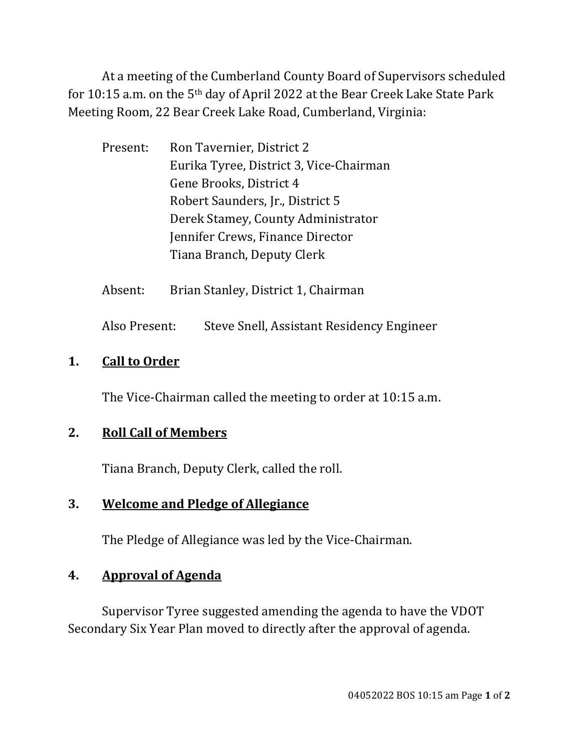At a meeting of the Cumberland County Board of Supervisors scheduled for 10:15 a.m. on the 5th day of April 2022 at the Bear Creek Lake State Park Meeting Room, 22 Bear Creek Lake Road, Cumberland, Virginia:

| Present: | Ron Tavernier, District 2               |  |
|----------|-----------------------------------------|--|
|          | Eurika Tyree, District 3, Vice-Chairman |  |
|          | Gene Brooks, District 4                 |  |
|          | Robert Saunders, Jr., District 5        |  |
|          | Derek Stamey, County Administrator      |  |
|          | Jennifer Crews, Finance Director        |  |
|          | Tiana Branch, Deputy Clerk              |  |

Absent: Brian Stanley, District 1, Chairman

Also Present: Steve Snell, Assistant Residency Engineer

### **1. Call to Order**

The Vice-Chairman called the meeting to order at 10:15 a.m.

# **2. Roll Call of Members**

Tiana Branch, Deputy Clerk, called the roll.

# **3. Welcome and Pledge of Allegiance**

The Pledge of Allegiance was led by the Vice-Chairman.

# **4. Approval of Agenda**

 Supervisor Tyree suggested amending the agenda to have the VDOT Secondary Six Year Plan moved to directly after the approval of agenda.